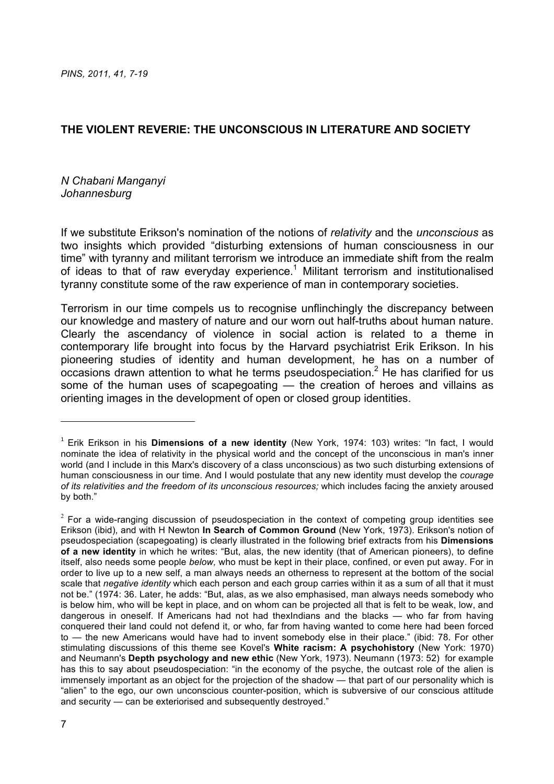## **THE VIOLENT REVERIE: THE UNCONSCIOUS IN LITERATURE AND SOCIETY**

## *N Chabani Manganyi Johannesburg*

!!!!!!!!!!!!!!!!!!!!!!!!!!!!!!!!!!!!!!!!!!!!!!!!!!!!!!!!!!!!

If we substitute Erikson's nomination of the notions of *relativity* and the *unconscious* as two insights which provided "disturbing extensions of human consciousness in our time" with tyranny and militant terrorism we introduce an immediate shift from the realm of ideas to that of raw everyday experience.<sup>1</sup> Militant terrorism and institutionalised tyranny constitute some of the raw experience of man in contemporary societies.

Terrorism in our time compels us to recognise unflinchingly the discrepancy between our knowledge and mastery of nature and our worn out half-truths about human nature. Clearly the ascendancy of violence in social action is related to a theme in contemporary life brought into focus by the Harvard psychiatrist Erik Erikson. In his pioneering studies of identity and human development, he has on a number of  $\alpha$  occasions drawn attention to what he terms pseudospeciation.<sup>2</sup> He has clarified for us some of the human uses of scapegoating — the creation of heroes and villains as orienting images in the development of open or closed group identities.

<sup>1</sup> Erik Erikson in his **Dimensions of a new identity** (New York, 1974: 103) writes: "In fact, I would nominate the idea of relativity in the physical world and the concept of the unconscious in man's inner world (and I include in this Marx's discovery of a class unconscious) as two such disturbing extensions of human consciousness in our time. And I would postulate that any new identity must develop the *courage of its relativities and the freedom of its unconscious resources;* which includes facing the anxiety aroused by both."

 $2$  For a wide-ranging discussion of pseudospeciation in the context of competing group identities see Erikson (ibid), and with H Newton **In Search of Common Ground** (New York, 1973). Erikson's notion of pseudospeciation (scapegoating) is clearly illustrated in the following brief extracts from his **Dimensions of a new identity** in which he writes: "But, alas, the new identity (that of American pioneers), to define itself, also needs some people *below,* who must be kept in their place, confined, or even put away. For in order to live up to a new self, a man always needs an otherness to represent at the bottom of the social scale that *negative identity* which each person and each group carries within it as a sum of all that it must not be." (1974: 36. Later, he adds: "But, alas, as we also emphasised, man always needs somebody who is below him, who will be kept in place, and on whom can be projected all that is felt to be weak, low, and dangerous in oneself. If Americans had not had thexIndians and the blacks — who far from having conquered their land could not defend it, or who, far from having wanted to come here had been forced to — the new Americans would have had to invent somebody else in their place." (ibid: 78. For other stimulating discussions of this theme see Kovel's **White racism: A psychohistory** (New York: 1970) and Neumann's **Depth psychology and new ethic** (New York, 1973). Neumann (1973: 52) for example has this to say about pseudospeciation: "in the economy of the psyche, the outcast role of the alien is immensely important as an object for the projection of the shadow — that part of our personality which is "alien" to the ego, our own unconscious counter-position, which is subversive of our conscious attitude and security — can be exteriorised and subsequently destroyed."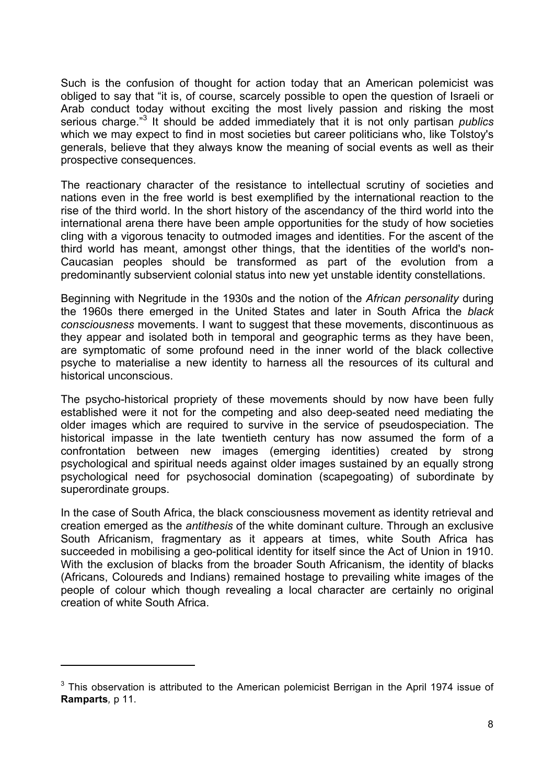Such is the confusion of thought for action today that an American polemicist was obliged to say that "it is, of course, scarcely possible to open the question of Israeli or Arab conduct today without exciting the most lively passion and risking the most serious charge." <sup>3</sup> It should be added immediately that it is not only partisan *publics* which we may expect to find in most societies but career politicians who, like Tolstoy's generals, believe that they always know the meaning of social events as well as their prospective consequences.

The reactionary character of the resistance to intellectual scrutiny of societies and nations even in the free world is best exemplified by the international reaction to the rise of the third world. In the short history of the ascendancy of the third world into the international arena there have been ample opportunities for the study of how societies cling with a vigorous tenacity to outmoded images and identities. For the ascent of the third world has meant, amongst other things, that the identities of the world's non-Caucasian peoples should be transformed as part of the evolution from a predominantly subservient colonial status into new yet unstable identity constellations.

Beginning with Negritude in the 1930s and the notion of the *African personality* during the 1960s there emerged in the United States and later in South Africa the *black consciousness* movements. I want to suggest that these movements, discontinuous as they appear and isolated both in temporal and geographic terms as they have been, are symptomatic of some profound need in the inner world of the black collective psyche to materialise a new identity to harness all the resources of its cultural and historical unconscious.

The psycho-historical propriety of these movements should by now have been fully established were it not for the competing and also deep-seated need mediating the older images which are required to survive in the service of pseudospeciation. The historical impasse in the late twentieth century has now assumed the form of a confrontation between new images (emerging identities) created by strong psychological and spiritual needs against older images sustained by an equally strong psychological need for psychosocial domination (scapegoating) of subordinate by superordinate groups.

In the case of South Africa, the black consciousness movement as identity retrieval and creation emerged as the *antithesis* of the white dominant culture. Through an exclusive South Africanism, fragmentary as it appears at times, white South Africa has succeeded in mobilising a geo-political identity for itself since the Act of Union in 1910. With the exclusion of blacks from the broader South Africanism, the identity of blacks (Africans, Coloureds and Indians) remained hostage to prevailing white images of the people of colour which though revealing a local character are certainly no original creation of white South Africa.

 $3$  This observation is attributed to the American polemicist Berrigan in the April 1974 issue of **Ramparts***,* p 11.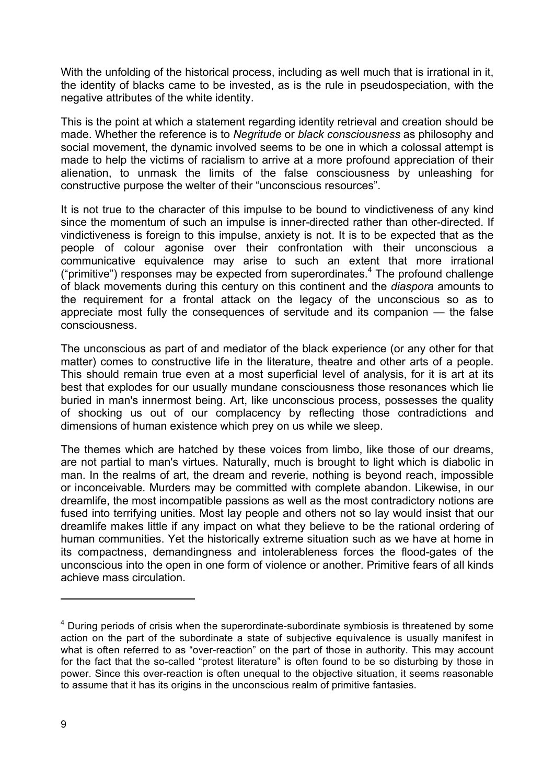With the unfolding of the historical process, including as well much that is irrational in it, the identity of blacks came to be invested, as is the rule in pseudospeciation, with the negative attributes of the white identity.

This is the point at which a statement regarding identity retrieval and creation should be made. Whether the reference is to *Negritude* or *black consciousness* as philosophy and social movement, the dynamic involved seems to be one in which a colossal attempt is made to help the victims of racialism to arrive at a more profound appreciation of their alienation, to unmask the limits of the false consciousness by unleashing for constructive purpose the welter of their "unconscious resources".

It is not true to the character of this impulse to be bound to vindictiveness of any kind since the momentum of such an impulse is inner-directed rather than other-directed. If vindictiveness is foreign to this impulse, anxiety is not. It is to be expected that as the people of colour agonise over their confrontation with their unconscious a communicative equivalence may arise to such an extent that more irrational ("primitive") responses may be expected from superordinates.4 The profound challenge of black movements during this century on this continent and the *diaspora* amounts to the requirement for a frontal attack on the legacy of the unconscious so as to appreciate most fully the consequences of servitude and its companion — the false consciousness.

The unconscious as part of and mediator of the black experience (or any other for that matter) comes to constructive life in the literature, theatre and other arts of a people. This should remain true even at a most superficial level of analysis, for it is art at its best that explodes for our usually mundane consciousness those resonances which lie buried in man's innermost being. Art, like unconscious process, possesses the quality of shocking us out of our complacency by reflecting those contradictions and dimensions of human existence which prey on us while we sleep.

The themes which are hatched by these voices from limbo, like those of our dreams, are not partial to man's virtues. Naturally, much is brought to light which is diabolic in man. In the realms of art, the dream and reverie, nothing is beyond reach, impossible or inconceivable. Murders may be committed with complete abandon. Likewise, in our dreamlife, the most incompatible passions as well as the most contradictory notions are fused into terrifying unities. Most lay people and others not so lay would insist that our dreamlife makes little if any impact on what they believe to be the rational ordering of human communities. Yet the historically extreme situation such as we have at home in its compactness, demandingness and intolerableness forces the flood-gates of the unconscious into the open in one form of violence or another. Primitive fears of all kinds achieve mass circulation.

 $4$  During periods of crisis when the superordinate-subordinate symbiosis is threatened by some action on the part of the subordinate a state of subjective equivalence is usually manifest in what is often referred to as "over-reaction" on the part of those in authority. This may account for the fact that the so-called "protest literature" is often found to be so disturbing by those in power. Since this over-reaction is often unequal to the objective situation, it seems reasonable to assume that it has its origins in the unconscious realm of primitive fantasies.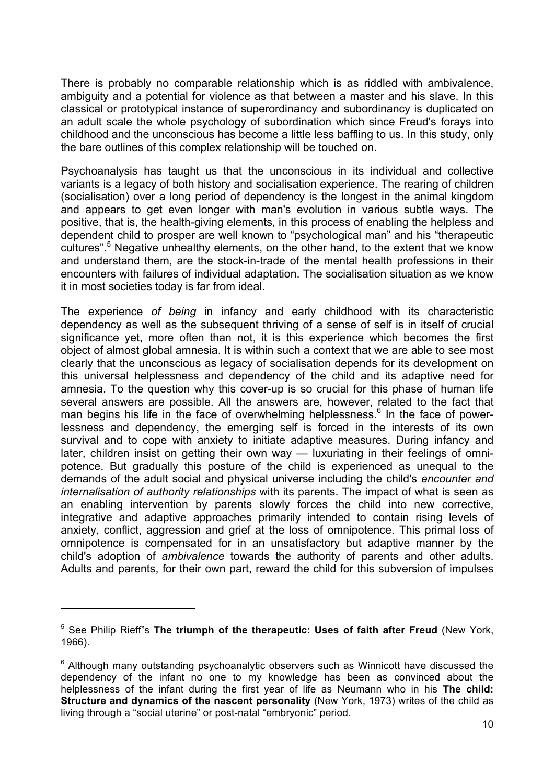There is probably no comparable relationship which is as riddled with ambivalence, ambiguity and a potential for violence as that between a master and his slave. In this classical or prototypical instance of superordinancy and subordinancy is duplicated on an adult scale the whole psychology of subordination which since Freud's forays into childhood and the unconscious has become a little less baffling to us. In this study, only the bare outlines of this complex relationship will be touched on.

Psychoanalysis has taught us that the unconscious in its individual and collective variants is a legacy of both history and socialisation experience. The rearing of children (socialisation) over a long period of dependency is the longest in the animal kingdom and appears to get even longer with man's evolution in various subtle ways. The positive, that is, the health-giving elements, in this process of enabling the helpless and dependent child to prosper are well known to "psychological man" and his "therapeutic cultures".<sup>5</sup> Negative unhealthy elements, on the other hand, to the extent that we know and understand them, are the stock-in-trade of the mental health professions in their encounters with failures of individual adaptation. The socialisation situation as we know it in most societies today is far from ideal.

The experience *of being* in infancy and early childhood with its characteristic dependency as well as the subsequent thriving of a sense of self is in itself of crucial significance yet, more often than not, it is this experience which becomes the first object of almost global amnesia. It is within such a context that we are able to see most clearly that the unconscious as legacy of socialisation depends for its development on this universal helplessness and dependency of the child and its adaptive need for amnesia. To the question why this cover-up is so crucial for this phase of human life several answers are possible. All the answers are, however, related to the fact that man begins his life in the face of overwhelming helplessness.<sup>6</sup> In the face of powerlessness and dependency, the emerging self is forced in the interests of its own survival and to cope with anxiety to initiate adaptive measures. During infancy and later, children insist on getting their own way — luxuriating in their feelings of omnipotence. But gradually this posture of the child is experienced as unequal to the demands of the adult social and physical universe including the child's *encounter and internalisation of authority relationships* with its parents. The impact of what is seen as an enabling intervention by parents slowly forces the child into new corrective, integrative and adaptive approaches primarily intended to contain rising levels of anxiety, conflict, aggression and grief at the loss of omnipotence. This primal loss of omnipotence is compensated for in an unsatisfactory but adaptive manner by the child's adoption of *ambivalence* towards the authority of parents and other adults. Adults and parents, for their own part, reward the child for this subversion of impulses

<sup>5</sup> See Philip Rieff"s **The triumph of the therapeutic: Uses of faith after Freud** (New York, 1966).

 $6$  Although many outstanding psychoanalytic observers such as Winnicott have discussed the dependency of the infant no one to my knowledge has been as convinced about the helplessness of the infant during the first year of life as Neumann who in his **The child: Structure and dynamics of the nascent personality** (New York, 1973) writes of the child as living through a "social uterine" or post-natal "embryonic" period.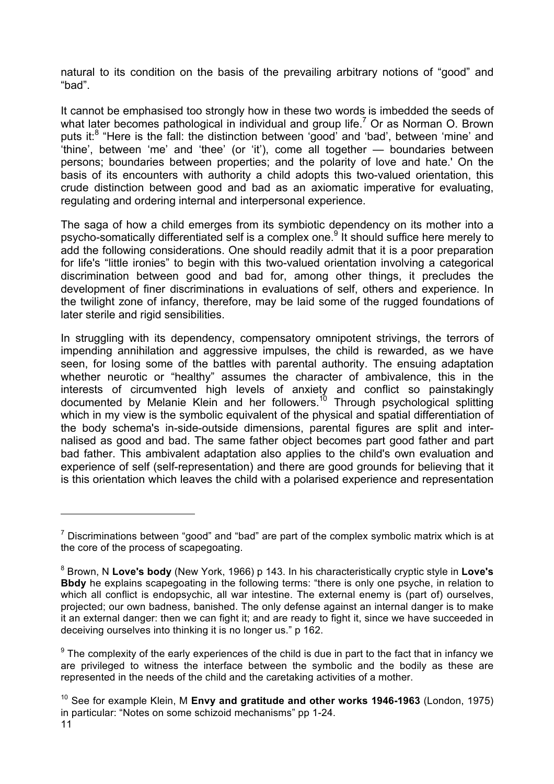natural to its condition on the basis of the prevailing arbitrary notions of "good" and "bad".

It cannot be emphasised too strongly how in these two words is imbedded the seeds of what later becomes pathological in individual and group life.<sup>7</sup> Or as Norman O. Brown puts it:<sup>8</sup> "Here is the fall: the distinction between 'good' and 'bad', between 'mine' and 'thine', between 'me' and 'thee' (or 'it'), come all together — boundaries between persons; boundaries between properties; and the polarity of love and hate.' On the basis of its encounters with authority a child adopts this two-valued orientation, this crude distinction between good and bad as an axiomatic imperative for evaluating, regulating and ordering internal and interpersonal experience.

The saga of how a child emerges from its symbiotic dependency on its mother into a psycho-somatically differentiated self is a complex one.<sup>9</sup> It should suffice here merely to add the following considerations. One should readily admit that it is a poor preparation for life's "little ironies" to begin with this two-valued orientation involving a categorical discrimination between good and bad for, among other things, it precludes the development of finer discriminations in evaluations of self, others and experience. In the twilight zone of infancy, therefore, may be laid some of the rugged foundations of later sterile and rigid sensibilities.

In struggling with its dependency, compensatory omnipotent strivings, the terrors of impending annihilation and aggressive impulses, the child is rewarded, as we have seen, for losing some of the battles with parental authority. The ensuing adaptation whether neurotic or "healthy" assumes the character of ambivalence, this in the interests of circumvented high levels of anxiety and conflict so painstakingly documented by Melanie Klein and her followers.<sup>10</sup> Through psychological splitting which in my view is the symbolic equivalent of the physical and spatial differentiation of the body schema's in-side-outside dimensions, parental figures are split and internalised as good and bad. The same father object becomes part good father and part bad father. This ambivalent adaptation also applies to the child's own evaluation and experience of self (self-representation) and there are good grounds for believing that it is this orientation which leaves the child with a polarised experience and representation

 $7$  Discriminations between "good" and "bad" are part of the complex symbolic matrix which is at the core of the process of scapegoating.

<sup>8</sup> Brown, N **Love's body** (New York, 1966) p 143. In his characteristically cryptic style in **Love's Bbdy** he explains scapegoating in the following terms: "there is only one psyche, in relation to which all conflict is endopsychic, all war intestine. The external enemy is (part of) ourselves, projected; our own badness, banished. The only defense against an internal danger is to make it an external danger: then we can fight it; and are ready to fight it, since we have succeeded in deceiving ourselves into thinking it is no longer us." p 162.

 $9$  The complexity of the early experiences of the child is due in part to the fact that in infancy we are privileged to witness the interface between the symbolic and the bodily as these are represented in the needs of the child and the caretaking activities of a mother.

<sup>10</sup> See for example Klein, M **Envy and gratitude and other works 1946-1963** (London, 1975) in particular: "Notes on some schizoid mechanisms" pp 1-24.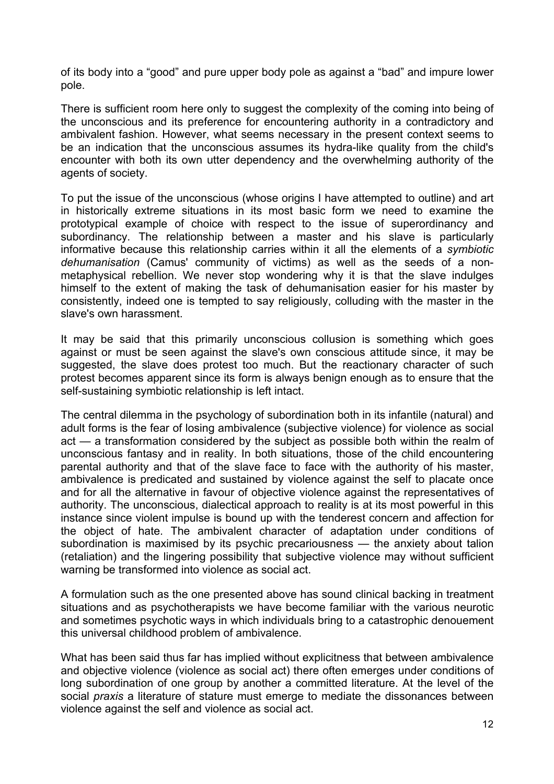of its body into a "good" and pure upper body pole as against a "bad" and impure lower pole.

There is sufficient room here only to suggest the complexity of the coming into being of the unconscious and its preference for encountering authority in a contradictory and ambivalent fashion. However, what seems necessary in the present context seems to be an indication that the unconscious assumes its hydra-like quality from the child's encounter with both its own utter dependency and the overwhelming authority of the agents of society.

To put the issue of the unconscious (whose origins I have attempted to outline) and art in historically extreme situations in its most basic form we need to examine the prototypical example of choice with respect to the issue of superordinancy and subordinancy. The relationship between a master and his slave is particularly informative because this relationship carries within it all the elements of a *symbiotic dehumanisation* (Camus' community of victims) as well as the seeds of a nonmetaphysical rebellion. We never stop wondering why it is that the slave indulges himself to the extent of making the task of dehumanisation easier for his master by consistently, indeed one is tempted to say religiously, colluding with the master in the slave's own harassment.

It may be said that this primarily unconscious collusion is something which goes against or must be seen against the slave's own conscious attitude since, it may be suggested, the slave does protest too much. But the reactionary character of such protest becomes apparent since its form is always benign enough as to ensure that the self-sustaining symbiotic relationship is left intact.

The central dilemma in the psychology of subordination both in its infantile (natural) and adult forms is the fear of losing ambivalence (subjective violence) for violence as social act — a transformation considered by the subject as possible both within the realm of unconscious fantasy and in reality. In both situations, those of the child encountering parental authority and that of the slave face to face with the authority of his master, ambivalence is predicated and sustained by violence against the self to placate once and for all the alternative in favour of objective violence against the representatives of authority. The unconscious, dialectical approach to reality is at its most powerful in this instance since violent impulse is bound up with the tenderest concern and affection for the object of hate. The ambivalent character of adaptation under conditions of subordination is maximised by its psychic precariousness — the anxiety about talion (retaliation) and the lingering possibility that subjective violence may without sufficient warning be transformed into violence as social act.

A formulation such as the one presented above has sound clinical backing in treatment situations and as psychotherapists we have become familiar with the various neurotic and sometimes psychotic ways in which individuals bring to a catastrophic denouement this universal childhood problem of ambivalence.

What has been said thus far has implied without explicitness that between ambivalence and objective violence (violence as social act) there often emerges under conditions of long subordination of one group by another a committed literature. At the level of the social *praxis* a literature of stature must emerge to mediate the dissonances between violence against the self and violence as social act.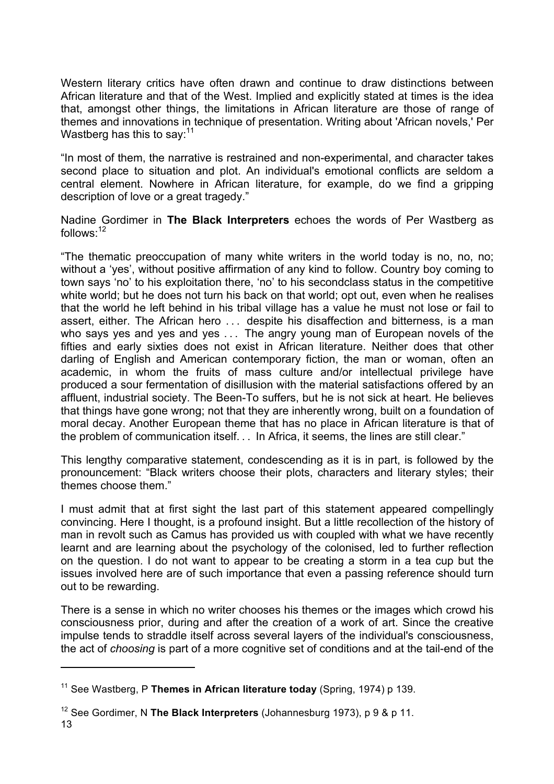Western literary critics have often drawn and continue to draw distinctions between African literature and that of the West. Implied and explicitly stated at times is the idea that, amongst other things, the limitations in African literature are those of range of themes and innovations in technique of presentation. Writing about 'African novels,' Per Wastberg has this to say:  $11$ 

"In most of them, the narrative is restrained and non-experimental, and character takes second place to situation and plot. An individual's emotional conflicts are seldom a central element. Nowhere in African literature, for example, do we find a gripping description of love or a great tragedy."

Nadine Gordimer in **The Black Interpreters** echoes the words of Per Wastberg as follows: $12$ 

"The thematic preoccupation of many white writers in the world today is no, no, no; without a 'yes', without positive affirmation of any kind to follow. Country boy coming to town says 'no' to his exploitation there, 'no' to his secondclass status in the competitive white world; but he does not turn his back on that world; opt out, even when he realises that the world he left behind in his tribal village has a value he must not lose or fail to assert, either. The African hero ... despite his disaffection and bitterness, is a man who says yes and yes and yes ... The angry young man of European novels of the fifties and early sixties does not exist in African literature. Neither does that other darling of English and American contemporary fiction, the man or woman, often an academic, in whom the fruits of mass culture and/or intellectual privilege have produced a sour fermentation of disillusion with the material satisfactions offered by an affluent, industrial society. The Been-To suffers, but he is not sick at heart. He believes that things have gone wrong; not that they are inherently wrong, built on a foundation of moral decay. Another European theme that has no place in African literature is that of the problem of communication itself... In Africa, it seems, the lines are still clear."

This lengthy comparative statement, condescending as it is in part, is followed by the pronouncement: "Black writers choose their plots, characters and literary styles; their themes choose them."

I must admit that at first sight the last part of this statement appeared compellingly convincing. Here I thought, is a profound insight. But a little recollection of the history of man in revolt such as Camus has provided us with coupled with what we have recently learnt and are learning about the psychology of the colonised, led to further reflection on the question. I do not want to appear to be creating a storm in a tea cup but the issues involved here are of such importance that even a passing reference should turn out to be rewarding.

There is a sense in which no writer chooses his themes or the images which crowd his consciousness prior, during and after the creation of a work of art. Since the creative impulse tends to straddle itself across several layers of the individual's consciousness, the act of *choosing* is part of a more cognitive set of conditions and at the tail-end of the

<sup>11</sup> See Wastberg, P **Themes in African literature today** (Spring, 1974) p 139.

<sup>12</sup> See Gordimer, N **The Black Interpreters** (Johannesburg 1973), p 9 & p 11.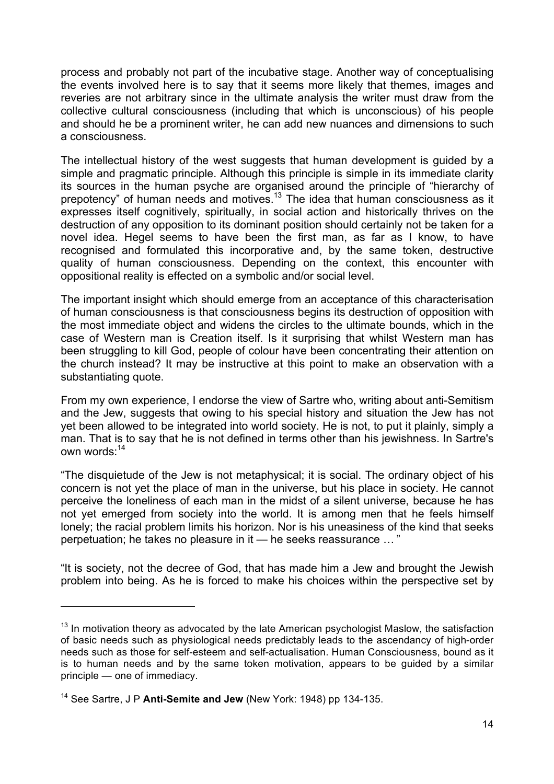process and probably not part of the incubative stage. Another way of conceptualising the events involved here is to say that it seems more likely that themes, images and reveries are not arbitrary since in the ultimate analysis the writer must draw from the collective cultural consciousness (including that which is unconscious) of his people and should he be a prominent writer, he can add new nuances and dimensions to such a consciousness.

The intellectual history of the west suggests that human development is guided by a simple and pragmatic principle. Although this principle is simple in its immediate clarity its sources in the human psyche are organised around the principle of "hierarchy of prepotency" of human needs and motives.<sup>13</sup> The idea that human consciousness as it expresses itself cognitively, spiritually, in social action and historically thrives on the destruction of any opposition to its dominant position should certainly not be taken for a novel idea. Hegel seems to have been the first man, as far as I know, to have recognised and formulated this incorporative and, by the same token, destructive quality of human consciousness. Depending on the context, this encounter with oppositional reality is effected on a symbolic and/or social level.

The important insight which should emerge from an acceptance of this characterisation of human consciousness is that consciousness begins its destruction of opposition with the most immediate object and widens the circles to the ultimate bounds, which in the case of Western man is Creation itself. Is it surprising that whilst Western man has been struggling to kill God, people of colour have been concentrating their attention on the church instead? It may be instructive at this point to make an observation with a substantiating quote.

From my own experience, I endorse the view of Sartre who, writing about anti-Semitism and the Jew, suggests that owing to his special history and situation the Jew has not yet been allowed to be integrated into world society. He is not, to put it plainly, simply a man. That is to say that he is not defined in terms other than his jewishness. In Sartre's own words:<sup>14</sup>

"The disquietude of the Jew is not metaphysical; it is social. The ordinary object of his concern is not yet the place of man in the universe, but his place in society. He cannot perceive the loneliness of each man in the midst of a silent universe, because he has not yet emerged from society into the world. It is among men that he feels himself lonely; the racial problem limits his horizon. Nor is his uneasiness of the kind that seeks perpetuation; he takes no pleasure in it — he seeks reassurance … "

"It is society, not the decree of God, that has made him a Jew and brought the Jewish problem into being. As he is forced to make his choices within the perspective set by

 $13$  In motivation theory as advocated by the late American psychologist Maslow, the satisfaction of basic needs such as physiological needs predictably leads to the ascendancy of high-order needs such as those for self-esteem and self-actualisation. Human Consciousness, bound as it is to human needs and by the same token motivation, appears to be guided by a similar principle — one of immediacy.

<sup>14</sup> See Sartre, J P **Anti-Semite and Jew** (New York: 1948) pp 134-135.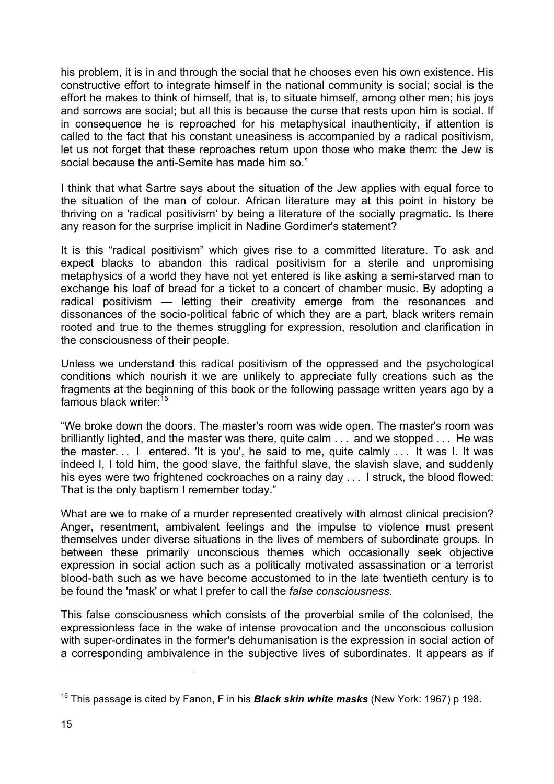his problem, it is in and through the social that he chooses even his own existence. His constructive effort to integrate himself in the national community is social; social is the effort he makes to think of himself, that is, to situate himself, among other men; his joys and sorrows are social; but all this is because the curse that rests upon him is social. If in consequence he is reproached for his metaphysical inauthenticity, if attention is called to the fact that his constant uneasiness is accompanied by a radical positivism, let us not forget that these reproaches return upon those who make them: the Jew is social because the anti-Semite has made him so."

I think that what Sartre says about the situation of the Jew applies with equal force to the situation of the man of colour. African literature may at this point in history be thriving on a 'radical positivism' by being a literature of the socially pragmatic. Is there any reason for the surprise implicit in Nadine Gordimer's statement?

It is this "radical positivism" which gives rise to a committed literature. To ask and expect blacks to abandon this radical positivism for a sterile and unpromising metaphysics of a world they have not yet entered is like asking a semi-starved man to exchange his loaf of bread for a ticket to a concert of chamber music. By adopting a radical positivism — letting their creativity emerge from the resonances and dissonances of the socio-political fabric of which they are a part, black writers remain rooted and true to the themes struggling for expression, resolution and clarification in the consciousness of their people.

Unless we understand this radical positivism of the oppressed and the psychological conditions which nourish it we are unlikely to appreciate fully creations such as the fragments at the beginning of this book or the following passage written years ago by a famous black writer:<sup>15</sup>

"We broke down the doors. The master's room was wide open. The master's room was brilliantly lighted, and the master was there, quite calm ... and we stopped ... He was the master... I entered. 'It is you', he said to me, quite calmly ... It was I. It was indeed I, I told him, the good slave, the faithful slave, the slavish slave, and suddenly his eyes were two frightened cockroaches on a rainy day ... I struck, the blood flowed: That is the only baptism I remember today."

What are we to make of a murder represented creatively with almost clinical precision? Anger, resentment, ambivalent feelings and the impulse to violence must present themselves under diverse situations in the lives of members of subordinate groups. In between these primarily unconscious themes which occasionally seek objective expression in social action such as a politically motivated assassination or a terrorist blood-bath such as we have become accustomed to in the late twentieth century is to be found the 'mask' or what I prefer to call the *false consciousness.*

This false consciousness which consists of the proverbial smile of the colonised, the expressionless face in the wake of intense provocation and the unconscious collusion with super-ordinates in the former's dehumanisation is the expression in social action of a corresponding ambivalence in the subjective lives of subordinates. It appears as if

<sup>15</sup> This passage is cited by Fanon, F in his *Black skin white masks* (New York: 1967) p 198.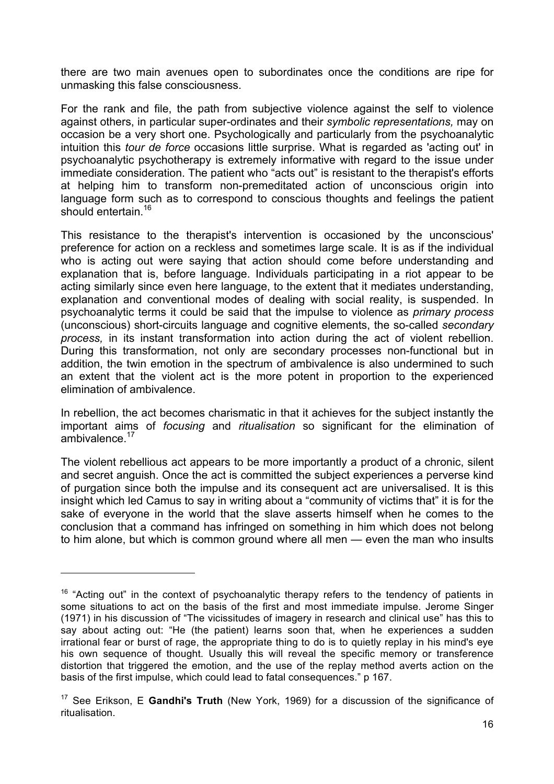there are two main avenues open to subordinates once the conditions are ripe for unmasking this false consciousness.

For the rank and file, the path from subjective violence against the self to violence against others, in particular super-ordinates and their *symbolic representations,* may on occasion be a very short one. Psychologically and particularly from the psychoanalytic intuition this *tour de force* occasions little surprise. What is regarded as 'acting out' in psychoanalytic psychotherapy is extremely informative with regard to the issue under immediate consideration. The patient who "acts out" is resistant to the therapist's efforts at helping him to transform non-premeditated action of unconscious origin into language form such as to correspond to conscious thoughts and feelings the patient should entertain.<sup>16</sup>

This resistance to the therapist's intervention is occasioned by the unconscious' preference for action on a reckless and sometimes large scale. It is as if the individual who is acting out were saying that action should come before understanding and explanation that is, before language. Individuals participating in a riot appear to be acting similarly since even here language, to the extent that it mediates understanding, explanation and conventional modes of dealing with social reality, is suspended. In psychoanalytic terms it could be said that the impulse to violence as *primary process*  (unconscious) short-circuits language and cognitive elements, the so-called *secondary process,* in its instant transformation into action during the act of violent rebellion. During this transformation, not only are secondary processes non-functional but in addition, the twin emotion in the spectrum of ambivalence is also undermined to such an extent that the violent act is the more potent in proportion to the experienced elimination of ambivalence.

In rebellion, the act becomes charismatic in that it achieves for the subject instantly the important aims of *focusing* and *ritualisation* so significant for the elimination of ambivalence. $17$ 

The violent rebellious act appears to be more importantly a product of a chronic, silent and secret anguish. Once the act is committed the subject experiences a perverse kind of purgation since both the impulse and its consequent act are universalised. It is this insight which led Camus to say in writing about a "community of victims that" it is for the sake of everyone in the world that the slave asserts himself when he comes to the conclusion that a command has infringed on something in him which does not belong to him alone, but which is common ground where all men — even the man who insults

 $16$  "Acting out" in the context of psychoanalytic therapy refers to the tendency of patients in some situations to act on the basis of the first and most immediate impulse. Jerome Singer (1971) in his discussion of "The vicissitudes of imagery in research and clinical use" has this to say about acting out: "He (the patient) learns soon that, when he experiences a sudden irrational fear or burst of rage, the appropriate thing to do is to quietly replay in his mind's eye his own sequence of thought. Usually this will reveal the specific memory or transference distortion that triggered the emotion, and the use of the replay method averts action on the basis of the first impulse, which could lead to fatal consequences." p 167.

<sup>17</sup> See Erikson, E **Gandhi's Truth** (New York, 1969) for a discussion of the significance of ritualisation.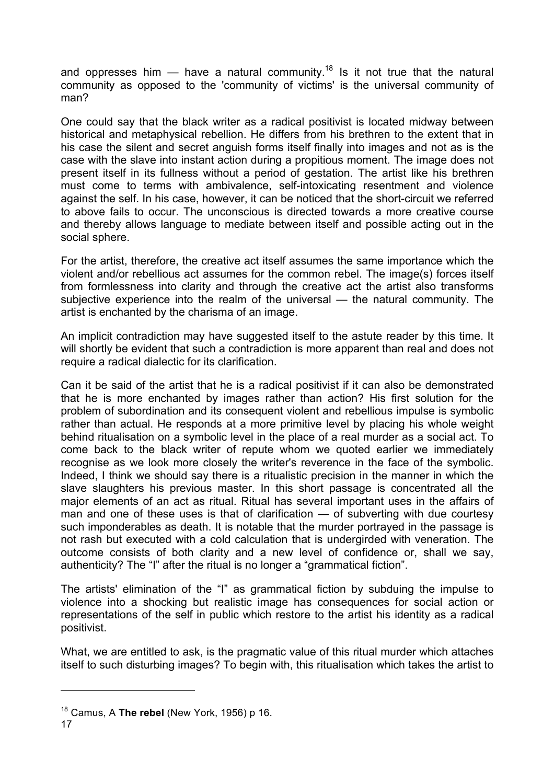and oppresses him  $-$  have a natural community.<sup>18</sup> Is it not true that the natural community as opposed to the 'community of victims' is the universal community of man?

One could say that the black writer as a radical positivist is located midway between historical and metaphysical rebellion. He differs from his brethren to the extent that in his case the silent and secret anguish forms itself finally into images and not as is the case with the slave into instant action during a propitious moment. The image does not present itself in its fullness without a period of gestation. The artist like his brethren must come to terms with ambivalence, self-intoxicating resentment and violence against the self. In his case, however, it can be noticed that the short-circuit we referred to above fails to occur. The unconscious is directed towards a more creative course and thereby allows language to mediate between itself and possible acting out in the social sphere.

For the artist, therefore, the creative act itself assumes the same importance which the violent and/or rebellious act assumes for the common rebel. The image(s) forces itself from formlessness into clarity and through the creative act the artist also transforms subjective experience into the realm of the universal — the natural community. The artist is enchanted by the charisma of an image.

An implicit contradiction may have suggested itself to the astute reader by this time. It will shortly be evident that such a contradiction is more apparent than real and does not require a radical dialectic for its clarification.

Can it be said of the artist that he is a radical positivist if it can also be demonstrated that he is more enchanted by images rather than action? His first solution for the problem of subordination and its consequent violent and rebellious impulse is symbolic rather than actual. He responds at a more primitive level by placing his whole weight behind ritualisation on a symbolic level in the place of a real murder as a social act. To come back to the black writer of repute whom we quoted earlier we immediately recognise as we look more closely the writer's reverence in the face of the symbolic. Indeed, I think we should say there is a ritualistic precision in the manner in which the slave slaughters his previous master. In this short passage is concentrated all the major elements of an act as ritual. Ritual has several important uses in the affairs of man and one of these uses is that of clarification — of subverting with due courtesy such imponderables as death. It is notable that the murder portrayed in the passage is not rash but executed with a cold calculation that is undergirded with veneration. The outcome consists of both clarity and a new level of confidence or, shall we say, authenticity? The "I" after the ritual is no longer a "grammatical fiction".

The artists' elimination of the "I" as grammatical fiction by subduing the impulse to violence into a shocking but realistic image has consequences for social action or representations of the self in public which restore to the artist his identity as a radical positivist.

What, we are entitled to ask, is the pragmatic value of this ritual murder which attaches itself to such disturbing images? To begin with, this ritualisation which takes the artist to

<sup>18</sup> Camus, A **The rebel** (New York, 1956) p 16.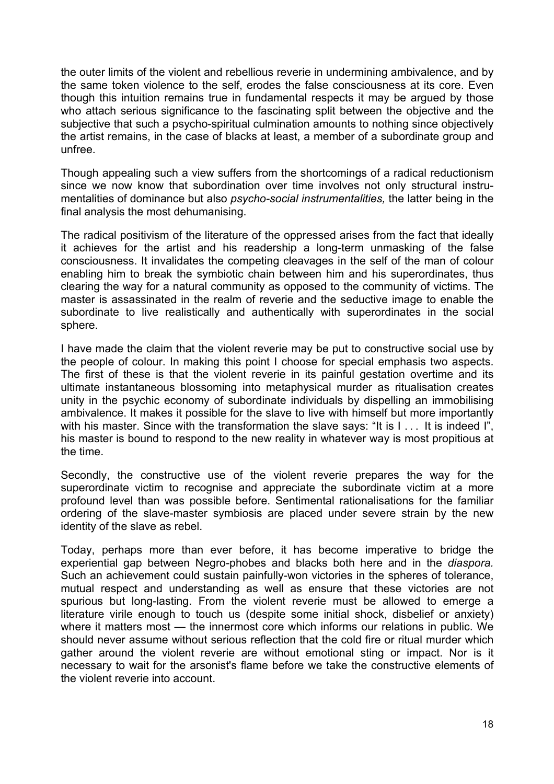the outer limits of the violent and rebellious reverie in undermining ambivalence, and by the same token violence to the self, erodes the false consciousness at its core. Even though this intuition remains true in fundamental respects it may be argued by those who attach serious significance to the fascinating split between the objective and the subjective that such a psycho-spiritual culmination amounts to nothing since objectively the artist remains, in the case of blacks at least, a member of a subordinate group and unfree.

Though appealing such a view suffers from the shortcomings of a radical reductionism since we now know that subordination over time involves not only structural instrumentalities of dominance but also *psycho-social instrumentalities,* the latter being in the final analysis the most dehumanising.

The radical positivism of the literature of the oppressed arises from the fact that ideally it achieves for the artist and his readership a long-term unmasking of the false consciousness. It invalidates the competing cleavages in the self of the man of colour enabling him to break the symbiotic chain between him and his superordinates, thus clearing the way for a natural community as opposed to the community of victims. The master is assassinated in the realm of reverie and the seductive image to enable the subordinate to live realistically and authentically with superordinates in the social sphere.

I have made the claim that the violent reverie may be put to constructive social use by the people of colour. In making this point I choose for special emphasis two aspects. The first of these is that the violent reverie in its painful gestation overtime and its ultimate instantaneous blossoming into metaphysical murder as ritualisation creates unity in the psychic economy of subordinate individuals by dispelling an immobilising ambivalence. It makes it possible for the slave to live with himself but more importantly with his master. Since with the transformation the slave says: "It is I ... It is indeed I", his master is bound to respond to the new reality in whatever way is most propitious at the time.

Secondly, the constructive use of the violent reverie prepares the way for the superordinate victim to recognise and appreciate the subordinate victim at a more profound level than was possible before. Sentimental rationalisations for the familiar ordering of the slave-master symbiosis are placed under severe strain by the new identity of the slave as rebel.

Today, perhaps more than ever before, it has become imperative to bridge the experiential gap between Negro-phobes and blacks both here and in the *diaspora.* Such an achievement could sustain painfully-won victories in the spheres of tolerance, mutual respect and understanding as well as ensure that these victories are not spurious but long-lasting. From the violent reverie must be allowed to emerge a literature virile enough to touch us (despite some initial shock, disbelief or anxiety) where it matters most — the innermost core which informs our relations in public. We should never assume without serious reflection that the cold fire or ritual murder which gather around the violent reverie are without emotional sting or impact. Nor is it necessary to wait for the arsonist's flame before we take the constructive elements of the violent reverie into account.